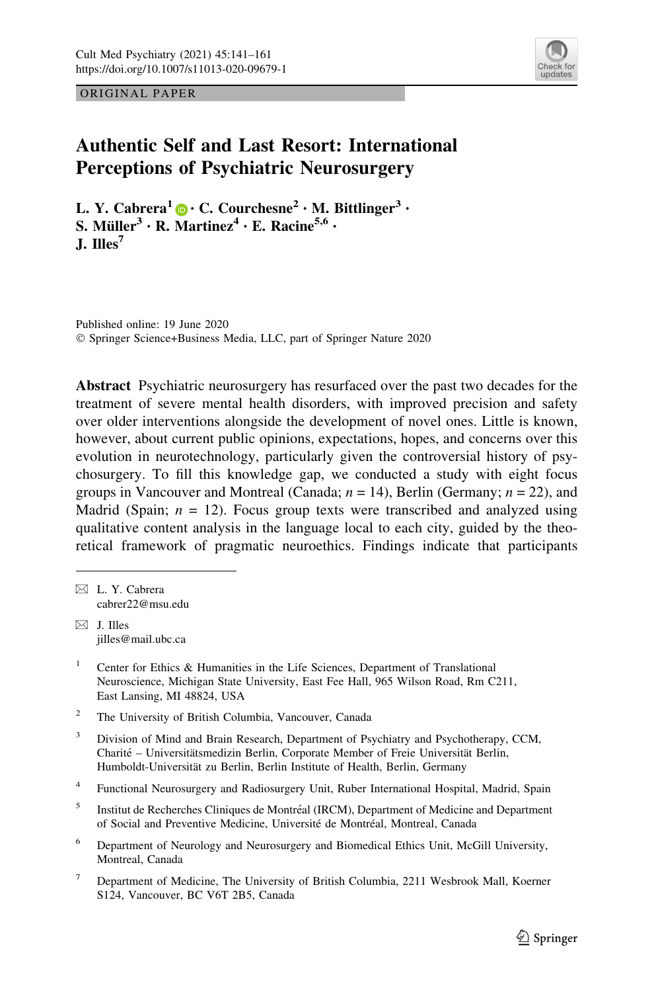



L. Y. Cabrera<sup>1</sup> • C. Courchesne<sup>2</sup> • M. Bittlinger<sup>3</sup> • S. Müller<sup>3</sup> • R. Martinez<sup>4</sup> • E. Racine<sup>5,6</sup> • J. Illes<sup>7</sup>

Published online: 19 June 2020 © Springer Science+Business Media, LLC, part of Springer Nature 2020

Abstract Psychiatric neurosurgery has resurfaced over the past two decades for the treatment of severe mental health disorders, with improved precision and safety over older interventions alongside the development of novel ones. Little is known, however, about current public opinions, expectations, hopes, and concerns over this evolution in neurotechnology, particularly given the controversial history of psychosurgery. To fill this knowledge gap, we conducted a study with eight focus groups in Vancouver and Montreal (Canada;  $n = 14$ ), Berlin (Germany;  $n = 22$ ), and Madrid (Spain;  $n = 12$ ). Focus group texts were transcribed and analyzed using qualitative content analysis in the language local to each city, guided by the theoretical framework of pragmatic neuroethics. Findings indicate that participants

& L. Y. Cabrera cabrer22@msu.edu

- $\boxtimes$  J. Illes jilles@mail.ubc.ca
- <sup>1</sup> Center for Ethics  $\&$  Humanities in the Life Sciences, Department of Translational Neuroscience, Michigan State University, East Fee Hall, 965 Wilson Road, Rm C211, East Lansing, MI 48824, USA
- <sup>2</sup> The University of British Columbia, Vancouver, Canada
- <sup>3</sup> Division of Mind and Brain Research, Department of Psychiatry and Psychotherapy, CCM, Charité – Universitätsmedizin Berlin, Corporate Member of Freie Universität Berlin, Humboldt-Universität zu Berlin, Berlin Institute of Health, Berlin, Germany
- <sup>4</sup> Functional Neurosurgery and Radiosurgery Unit, Ruber International Hospital, Madrid, Spain
- <sup>5</sup> Institut de Recherches Cliniques de Montréal (IRCM), Department of Medicine and Department of Social and Preventive Medicine, Université de Montréal, Montreal, Canada
- <sup>6</sup> Department of Neurology and Neurosurgery and Biomedical Ethics Unit, McGill University, Montreal, Canada
- <sup>7</sup> Department of Medicine, The University of British Columbia, 2211 Wesbrook Mall, Koerner S124, Vancouver, BC V6T 2B5, Canada

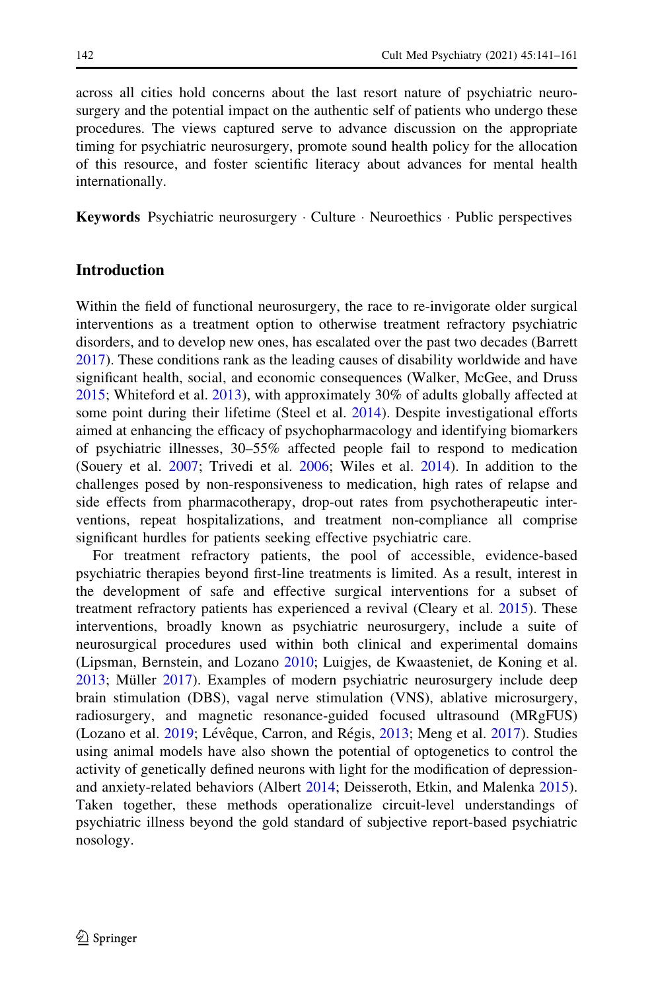across all cities hold concerns about the last resort nature of psychiatric neurosurgery and the potential impact on the authentic self of patients who undergo these procedures. The views captured serve to advance discussion on the appropriate timing for psychiatric neurosurgery, promote sound health policy for the allocation of this resource, and foster scientific literacy about advances for mental health internationally.

Keywords Psychiatric neurosurgery - Culture - Neuroethics - Public perspectives

## Introduction

Within the field of functional neurosurgery, the race to re-invigorate older surgical interventions as a treatment option to otherwise treatment refractory psychiatric disorders, and to develop new ones, has escalated over the past two decades (Barrett [2017\)](#page-16-0). These conditions rank as the leading causes of disability worldwide and have significant health, social, and economic consequences (Walker, McGee, and Druss [2015;](#page-19-0) Whiteford et al. [2013\)](#page-19-0), with approximately 30% of adults globally affected at some point during their lifetime (Steel et al. [2014](#page-19-0)). Despite investigational efforts aimed at enhancing the efficacy of psychopharmacology and identifying biomarkers of psychiatric illnesses, 30–55% affected people fail to respond to medication (Souery et al. [2007](#page-19-0); Trivedi et al. [2006](#page-19-0); Wiles et al. [2014\)](#page-19-0). In addition to the challenges posed by non-responsiveness to medication, high rates of relapse and side effects from pharmacotherapy, drop-out rates from psychotherapeutic interventions, repeat hospitalizations, and treatment non-compliance all comprise significant hurdles for patients seeking effective psychiatric care.

For treatment refractory patients, the pool of accessible, evidence-based psychiatric therapies beyond first-line treatments is limited. As a result, interest in the development of safe and effective surgical interventions for a subset of treatment refractory patients has experienced a revival (Cleary et al. [2015](#page-16-0)). These interventions, broadly known as psychiatric neurosurgery, include a suite of neurosurgical procedures used within both clinical and experimental domains (Lipsman, Bernstein, and Lozano [2010](#page-18-0); Luigjes, de Kwaasteniet, de Koning et al. [2013;](#page-18-0) Müller [2017](#page-18-0)). Examples of modern psychiatric neurosurgery include deep brain stimulation (DBS), vagal nerve stimulation (VNS), ablative microsurgery, radiosurgery, and magnetic resonance-guided focused ultrasound (MRgFUS) (Lozano et al. [2019](#page-18-0); Lévêque, Carron, and Régis, [2013](#page-18-0); Meng et al. [2017](#page-18-0)). Studies using animal models have also shown the potential of optogenetics to control the activity of genetically defined neurons with light for the modification of depressionand anxiety-related behaviors (Albert [2014;](#page-16-0) Deisseroth, Etkin, and Malenka [2015\)](#page-16-0). Taken together, these methods operationalize circuit-level understandings of psychiatric illness beyond the gold standard of subjective report-based psychiatric nosology.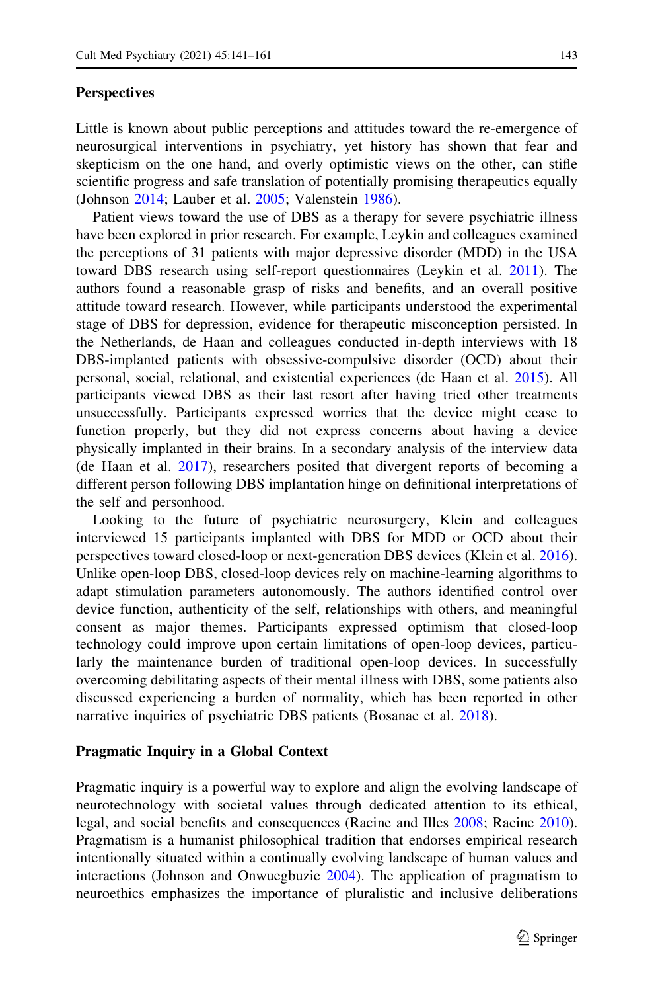#### **Perspectives**

Little is known about public perceptions and attitudes toward the re-emergence of neurosurgical interventions in psychiatry, yet history has shown that fear and skepticism on the one hand, and overly optimistic views on the other, can stifle scientific progress and safe translation of potentially promising therapeutics equally (Johnson [2014](#page-17-0); Lauber et al. [2005;](#page-17-0) Valenstein [1986](#page-19-0)).

Patient views toward the use of DBS as a therapy for severe psychiatric illness have been explored in prior research. For example, Leykin and colleagues examined the perceptions of 31 patients with major depressive disorder (MDD) in the USA toward DBS research using self-report questionnaires (Leykin et al. [2011](#page-18-0)). The authors found a reasonable grasp of risks and benefits, and an overall positive attitude toward research. However, while participants understood the experimental stage of DBS for depression, evidence for therapeutic misconception persisted. In the Netherlands, de Haan and colleagues conducted in-depth interviews with 18 DBS-implanted patients with obsessive-compulsive disorder (OCD) about their personal, social, relational, and existential experiences (de Haan et al. [2015\)](#page-16-0). All participants viewed DBS as their last resort after having tried other treatments unsuccessfully. Participants expressed worries that the device might cease to function properly, but they did not express concerns about having a device physically implanted in their brains. In a secondary analysis of the interview data (de Haan et al. [2017\)](#page-16-0), researchers posited that divergent reports of becoming a different person following DBS implantation hinge on definitional interpretations of the self and personhood.

Looking to the future of psychiatric neurosurgery, Klein and colleagues interviewed 15 participants implanted with DBS for MDD or OCD about their perspectives toward closed-loop or next-generation DBS devices (Klein et al. [2016\)](#page-17-0). Unlike open-loop DBS, closed-loop devices rely on machine-learning algorithms to adapt stimulation parameters autonomously. The authors identified control over device function, authenticity of the self, relationships with others, and meaningful consent as major themes. Participants expressed optimism that closed-loop technology could improve upon certain limitations of open-loop devices, particularly the maintenance burden of traditional open-loop devices. In successfully overcoming debilitating aspects of their mental illness with DBS, some patients also discussed experiencing a burden of normality, which has been reported in other narrative inquiries of psychiatric DBS patients (Bosanac et al. [2018\)](#page-16-0).

#### Pragmatic Inquiry in a Global Context

Pragmatic inquiry is a powerful way to explore and align the evolving landscape of neurotechnology with societal values through dedicated attention to its ethical, legal, and social benefits and consequences (Racine and Illes [2008](#page-18-0); Racine [2010\)](#page-18-0). Pragmatism is a humanist philosophical tradition that endorses empirical research intentionally situated within a continually evolving landscape of human values and interactions (Johnson and Onwuegbuzie [2004](#page-17-0)). The application of pragmatism to neuroethics emphasizes the importance of pluralistic and inclusive deliberations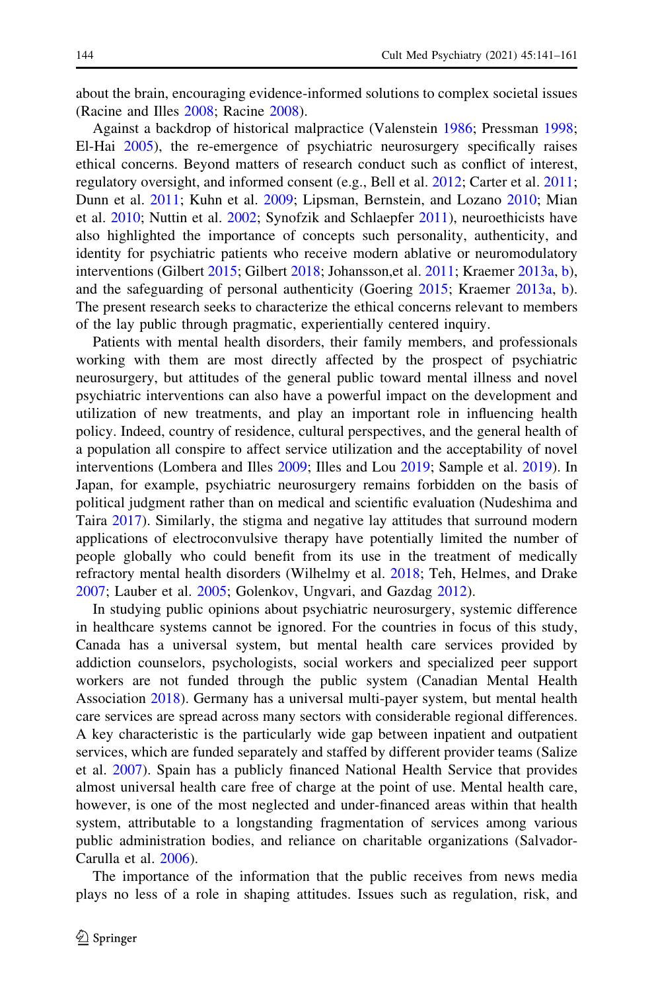about the brain, encouraging evidence-informed solutions to complex societal issues (Racine and Illes [2008;](#page-18-0) Racine [2008](#page-18-0)).

Against a backdrop of historical malpractice (Valenstein [1986;](#page-19-0) Pressman [1998;](#page-18-0) El-Hai [2005](#page-16-0)), the re-emergence of psychiatric neurosurgery specifically raises ethical concerns. Beyond matters of research conduct such as conflict of interest, regulatory oversight, and informed consent (e.g., Bell et al. [2012;](#page-16-0) Carter et al. [2011;](#page-16-0) Dunn et al. [2011;](#page-16-0) Kuhn et al. [2009](#page-17-0); Lipsman, Bernstein, and Lozano [2010;](#page-18-0) Mian et al. [2010](#page-18-0); Nuttin et al. [2002;](#page-18-0) Synofzik and Schlaepfer [2011\)](#page-19-0), neuroethicists have also highlighted the importance of concepts such personality, authenticity, and identity for psychiatric patients who receive modern ablative or neuromodulatory interventions (Gilbert [2015;](#page-17-0) Gilbert [2018](#page-17-0); Johansson,et al. [2011;](#page-17-0) Kraemer [2013a,](#page-17-0) [b\)](#page-17-0), and the safeguarding of personal authenticity (Goering [2015](#page-17-0); Kraemer [2013a](#page-17-0), [b\)](#page-17-0). The present research seeks to characterize the ethical concerns relevant to members of the lay public through pragmatic, experientially centered inquiry.

Patients with mental health disorders, their family members, and professionals working with them are most directly affected by the prospect of psychiatric neurosurgery, but attitudes of the general public toward mental illness and novel psychiatric interventions can also have a powerful impact on the development and utilization of new treatments, and play an important role in influencing health policy. Indeed, country of residence, cultural perspectives, and the general health of a population all conspire to affect service utilization and the acceptability of novel interventions (Lombera and Illes [2009;](#page-18-0) Illes and Lou [2019](#page-16-0); Sample et al. [2019](#page-19-0)). In Japan, for example, psychiatric neurosurgery remains forbidden on the basis of political judgment rather than on medical and scientific evaluation (Nudeshima and Taira [2017](#page-18-0)). Similarly, the stigma and negative lay attitudes that surround modern applications of electroconvulsive therapy have potentially limited the number of people globally who could benefit from its use in the treatment of medically refractory mental health disorders (Wilhelmy et al. [2018](#page-19-0); Teh, Helmes, and Drake [2007;](#page-19-0) Lauber et al. [2005;](#page-17-0) Golenkov, Ungvari, and Gazdag [2012](#page-17-0)).

In studying public opinions about psychiatric neurosurgery, systemic difference in healthcare systems cannot be ignored. For the countries in focus of this study, Canada has a universal system, but mental health care services provided by addiction counselors, psychologists, social workers and specialized peer support workers are not funded through the public system (Canadian Mental Health Association [2018](#page-16-0)). Germany has a universal multi-payer system, but mental health care services are spread across many sectors with considerable regional differences. A key characteristic is the particularly wide gap between inpatient and outpatient services, which are funded separately and staffed by different provider teams (Salize et al. [2007\)](#page-18-0). Spain has a publicly financed National Health Service that provides almost universal health care free of charge at the point of use. Mental health care, however, is one of the most neglected and under-financed areas within that health system, attributable to a longstanding fragmentation of services among various public administration bodies, and reliance on charitable organizations (Salvador-Carulla et al. [2006\)](#page-18-0).

The importance of the information that the public receives from news media plays no less of a role in shaping attitudes. Issues such as regulation, risk, and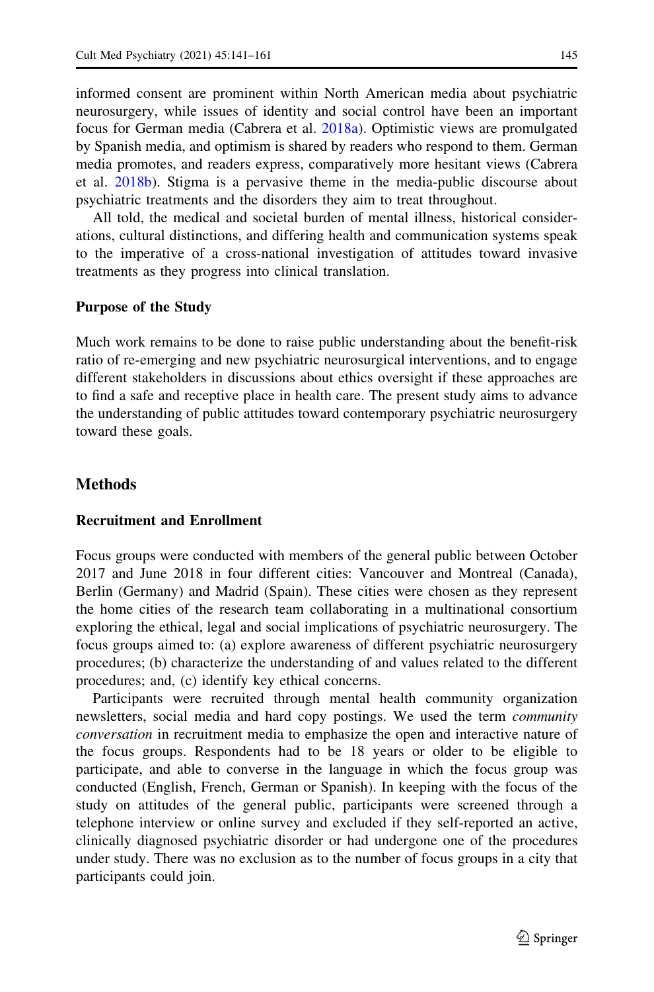informed consent are prominent within North American media about psychiatric neurosurgery, while issues of identity and social control have been an important focus for German media (Cabrera et al. [2018a\)](#page-16-0). Optimistic views are promulgated by Spanish media, and optimism is shared by readers who respond to them. German media promotes, and readers express, comparatively more hesitant views (Cabrera et al. [2018b](#page-16-0)). Stigma is a pervasive theme in the media-public discourse about psychiatric treatments and the disorders they aim to treat throughout.

All told, the medical and societal burden of mental illness, historical considerations, cultural distinctions, and differing health and communication systems speak to the imperative of a cross-national investigation of attitudes toward invasive treatments as they progress into clinical translation.

### Purpose of the Study

Much work remains to be done to raise public understanding about the benefit-risk ratio of re-emerging and new psychiatric neurosurgical interventions, and to engage different stakeholders in discussions about ethics oversight if these approaches are to find a safe and receptive place in health care. The present study aims to advance the understanding of public attitudes toward contemporary psychiatric neurosurgery toward these goals.

## Methods

## Recruitment and Enrollment

Focus groups were conducted with members of the general public between October 2017 and June 2018 in four different cities: Vancouver and Montreal (Canada), Berlin (Germany) and Madrid (Spain). These cities were chosen as they represent the home cities of the research team collaborating in a multinational consortium exploring the ethical, legal and social implications of psychiatric neurosurgery. The focus groups aimed to: (a) explore awareness of different psychiatric neurosurgery procedures; (b) characterize the understanding of and values related to the different procedures; and, (c) identify key ethical concerns.

Participants were recruited through mental health community organization newsletters, social media and hard copy postings. We used the term community conversation in recruitment media to emphasize the open and interactive nature of the focus groups. Respondents had to be 18 years or older to be eligible to participate, and able to converse in the language in which the focus group was conducted (English, French, German or Spanish). In keeping with the focus of the study on attitudes of the general public, participants were screened through a telephone interview or online survey and excluded if they self-reported an active, clinically diagnosed psychiatric disorder or had undergone one of the procedures under study. There was no exclusion as to the number of focus groups in a city that participants could join.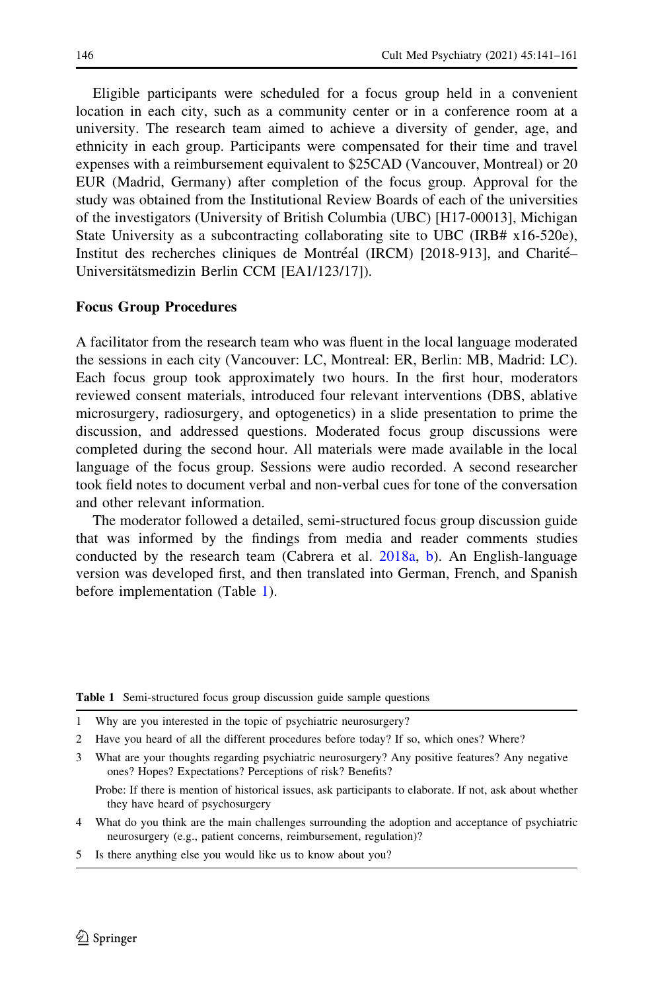Eligible participants were scheduled for a focus group held in a convenient location in each city, such as a community center or in a conference room at a university. The research team aimed to achieve a diversity of gender, age, and ethnicity in each group. Participants were compensated for their time and travel expenses with a reimbursement equivalent to \$25CAD (Vancouver, Montreal) or 20 EUR (Madrid, Germany) after completion of the focus group. Approval for the study was obtained from the Institutional Review Boards of each of the universities of the investigators (University of British Columbia (UBC) [H17-00013], Michigan State University as a subcontracting collaborating site to UBC (IRB# x16-520e), Institut des recherches cliniques de Montréal (IRCM) [2018-913], and Charité-Universitätsmedizin Berlin CCM [EA1/123/17]).

#### Focus Group Procedures

A facilitator from the research team who was fluent in the local language moderated the sessions in each city (Vancouver: LC, Montreal: ER, Berlin: MB, Madrid: LC). Each focus group took approximately two hours. In the first hour, moderators reviewed consent materials, introduced four relevant interventions (DBS, ablative microsurgery, radiosurgery, and optogenetics) in a slide presentation to prime the discussion, and addressed questions. Moderated focus group discussions were completed during the second hour. All materials were made available in the local language of the focus group. Sessions were audio recorded. A second researcher took field notes to document verbal and non-verbal cues for tone of the conversation and other relevant information.

The moderator followed a detailed, semi-structured focus group discussion guide that was informed by the findings from media and reader comments studies conducted by the research team (Cabrera et al. [2018a](#page-16-0), [b](#page-16-0)). An English-language version was developed first, and then translated into German, French, and Spanish before implementation (Table 1).

Table 1 Semi-structured focus group discussion guide sample questions

2 Have you heard of all the different procedures before today? If so, which ones? Where?

4 What do you think are the main challenges surrounding the adoption and acceptance of psychiatric neurosurgery (e.g., patient concerns, reimbursement, regulation)?

5 Is there anything else you would like us to know about you?

<sup>1</sup> Why are you interested in the topic of psychiatric neurosurgery?

<sup>3</sup> What are your thoughts regarding psychiatric neurosurgery? Any positive features? Any negative ones? Hopes? Expectations? Perceptions of risk? Benefits?

Probe: If there is mention of historical issues, ask participants to elaborate. If not, ask about whether they have heard of psychosurgery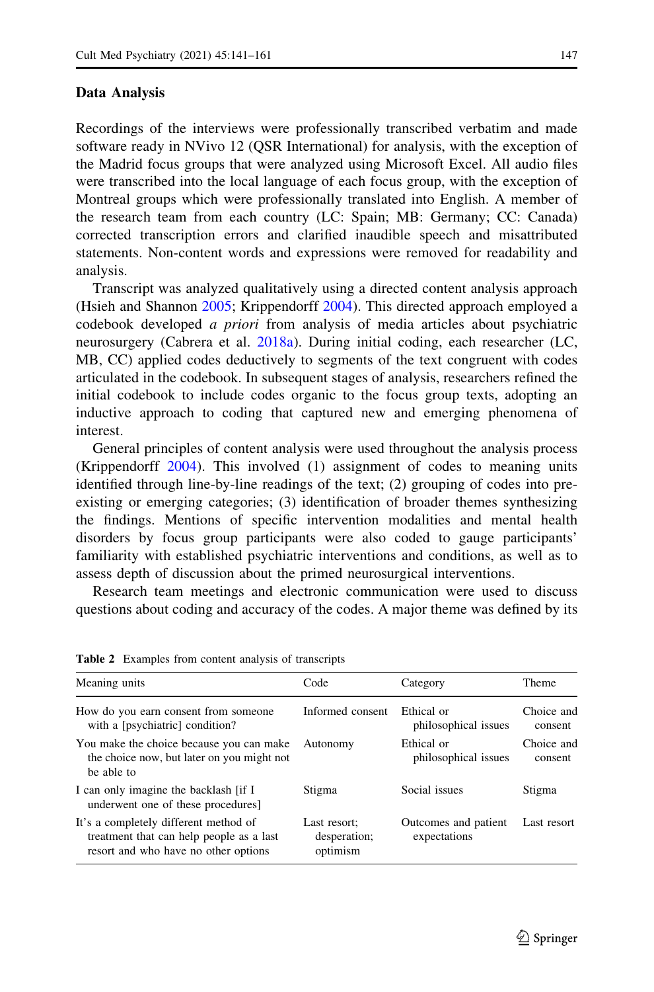#### <span id="page-6-0"></span>Data Analysis

Recordings of the interviews were professionally transcribed verbatim and made software ready in NVivo 12 (QSR International) for analysis, with the exception of the Madrid focus groups that were analyzed using Microsoft Excel. All audio files were transcribed into the local language of each focus group, with the exception of Montreal groups which were professionally translated into English. A member of the research team from each country (LC: Spain; MB: Germany; CC: Canada) corrected transcription errors and clarified inaudible speech and misattributed statements. Non-content words and expressions were removed for readability and analysis.

Transcript was analyzed qualitatively using a directed content analysis approach (Hsieh and Shannon [2005;](#page-17-0) Krippendorff [2004](#page-17-0)). This directed approach employed a codebook developed a priori from analysis of media articles about psychiatric neurosurgery (Cabrera et al. [2018a](#page-16-0)). During initial coding, each researcher (LC, MB, CC) applied codes deductively to segments of the text congruent with codes articulated in the codebook. In subsequent stages of analysis, researchers refined the initial codebook to include codes organic to the focus group texts, adopting an inductive approach to coding that captured new and emerging phenomena of interest.

General principles of content analysis were used throughout the analysis process (Krippendorff [2004](#page-17-0)). This involved (1) assignment of codes to meaning units identified through line-by-line readings of the text; (2) grouping of codes into preexisting or emerging categories; (3) identification of broader themes synthesizing the findings. Mentions of specific intervention modalities and mental health disorders by focus group participants were also coded to gauge participants' familiarity with established psychiatric interventions and conditions, as well as to assess depth of discussion about the primed neurosurgical interventions.

Research team meetings and electronic communication were used to discuss questions about coding and accuracy of the codes. A major theme was defined by its

| Meaning units                                                                                                             | Code                                     | Category                             | Theme                 |
|---------------------------------------------------------------------------------------------------------------------------|------------------------------------------|--------------------------------------|-----------------------|
| How do you earn consent from someone<br>with a [psychiatric] condition?                                                   | Informed consent                         | Ethical or<br>philosophical issues   | Choice and<br>consent |
| You make the choice because you can make<br>the choice now, but later on you might not<br>be able to                      | Autonomy                                 | Ethical or<br>philosophical issues   | Choice and<br>consent |
| I can only imagine the backlash [if I]<br>underwent one of these procedures]                                              | Stigma                                   | Social issues                        | Stigma                |
| It's a completely different method of<br>treatment that can help people as a last<br>resort and who have no other options | Last resort:<br>desperation;<br>optimism | Outcomes and patient<br>expectations | Last resort           |

Table 2 Examples from content analysis of transcripts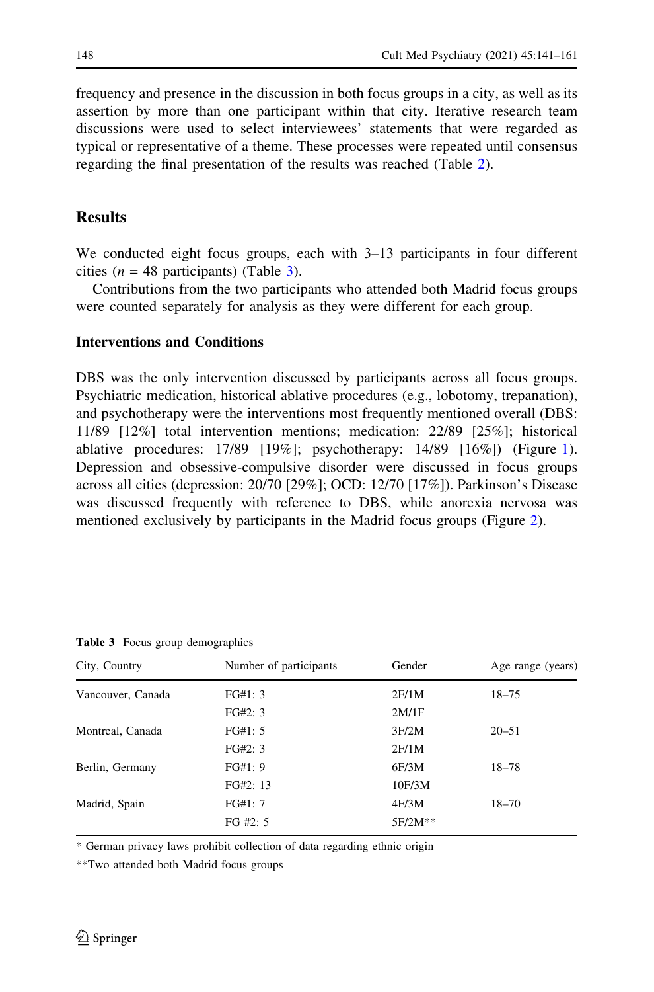frequency and presence in the discussion in both focus groups in a city, as well as its assertion by more than one participant within that city. Iterative research team discussions were used to select interviewees' statements that were regarded as typical or representative of a theme. These processes were repeated until consensus regarding the final presentation of the results was reached (Table [2](#page-6-0)).

# Results

We conducted eight focus groups, each with 3–13 participants in four different cities ( $n = 48$  participants) (Table 3).

Contributions from the two participants who attended both Madrid focus groups were counted separately for analysis as they were different for each group.

### Interventions and Conditions

DBS was the only intervention discussed by participants across all focus groups. Psychiatric medication, historical ablative procedures (e.g., lobotomy, trepanation), and psychotherapy were the interventions most frequently mentioned overall (DBS: 11/89 [12%] total intervention mentions; medication: 22/89 [25%]; historical ablative procedures: 17/89 [19%]; psychotherapy: 14/89 [16%]) (Figure [1\)](#page-8-0). Depression and obsessive-compulsive disorder were discussed in focus groups across all cities (depression: 20/70 [29%]; OCD: 12/70 [17%]). Parkinson's Disease was discussed frequently with reference to DBS, while anorexia nervosa was mentioned exclusively by participants in the Madrid focus groups (Figure [2\)](#page-8-0).

| City, Country     | Number of participants | Gender    | Age range (years) |  |
|-------------------|------------------------|-----------|-------------------|--|
| Vancouver, Canada | FG#1: 3                | 2F/1M     | $18 - 75$         |  |
|                   | FG#2: 3                | 2M/1F     |                   |  |
| Montreal, Canada  | FG#1: 5                | 3F/2M     | $20 - 51$         |  |
|                   | FG#2: 3                | 2F/1M     |                   |  |
| Berlin, Germany   | FG#1:9                 | 6F/3M     | $18 - 78$         |  |
|                   | FG#2: 13               | 10F/3M    |                   |  |
| Madrid, Spain     | FG#1:7                 | 4F/3M     | $18 - 70$         |  |
|                   | FG #2: $5$             | $5F/2M**$ |                   |  |

Table 3 Focus group demographics

\* German privacy laws prohibit collection of data regarding ethnic origin

\*\*Two attended both Madrid focus groups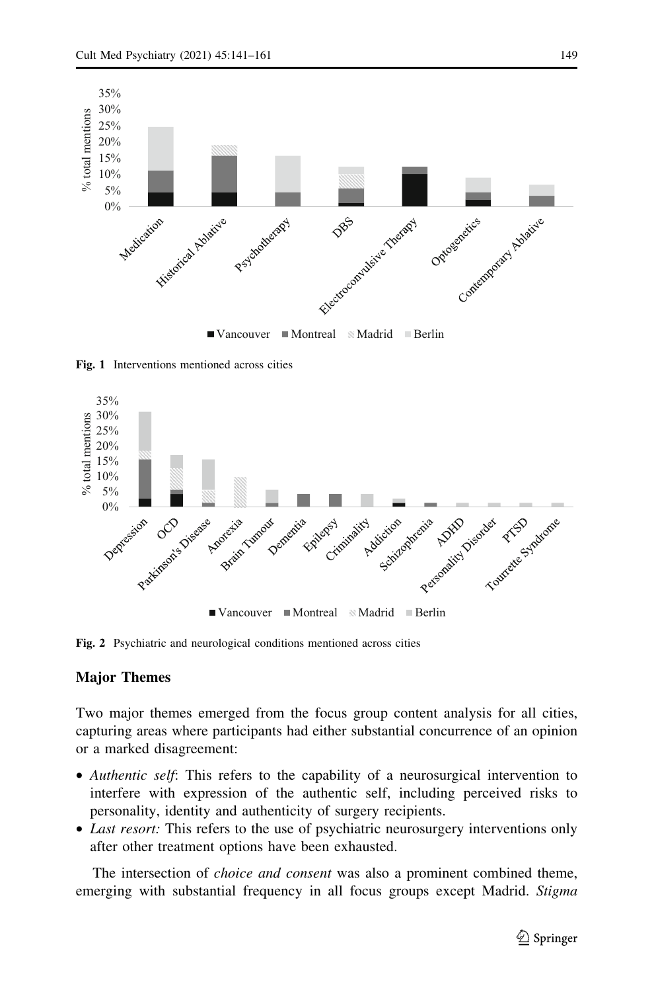<span id="page-8-0"></span>

Fig. 1 Interventions mentioned across cities



Fig. 2 Psychiatric and neurological conditions mentioned across cities

#### Major Themes

Two major themes emerged from the focus group content analysis for all cities, capturing areas where participants had either substantial concurrence of an opinion or a marked disagreement:

- Authentic self: This refers to the capability of a neurosurgical intervention to interfere with expression of the authentic self, including perceived risks to personality, identity and authenticity of surgery recipients.
- Last resort: This refers to the use of psychiatric neurosurgery interventions only after other treatment options have been exhausted.

The intersection of *choice and consent* was also a prominent combined theme, emerging with substantial frequency in all focus groups except Madrid. Stigma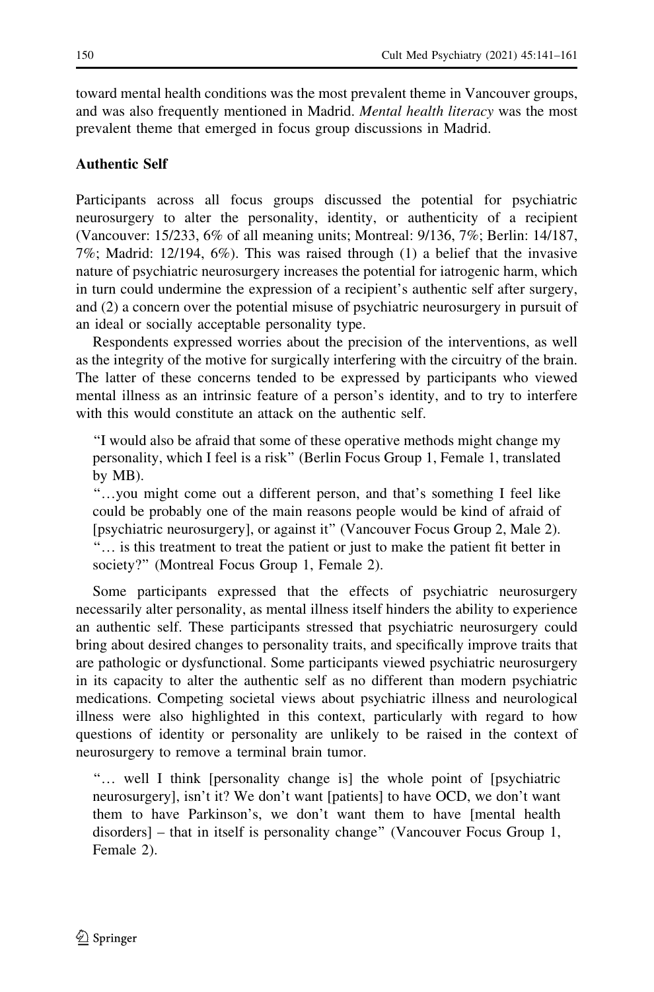toward mental health conditions was the most prevalent theme in Vancouver groups, and was also frequently mentioned in Madrid. *Mental health literacy* was the most prevalent theme that emerged in focus group discussions in Madrid.

# Authentic Self

Participants across all focus groups discussed the potential for psychiatric neurosurgery to alter the personality, identity, or authenticity of a recipient (Vancouver: 15/233, 6% of all meaning units; Montreal: 9/136, 7%; Berlin: 14/187, 7%; Madrid: 12/194, 6%). This was raised through (1) a belief that the invasive nature of psychiatric neurosurgery increases the potential for iatrogenic harm, which in turn could undermine the expression of a recipient's authentic self after surgery, and (2) a concern over the potential misuse of psychiatric neurosurgery in pursuit of an ideal or socially acceptable personality type.

Respondents expressed worries about the precision of the interventions, as well as the integrity of the motive for surgically interfering with the circuitry of the brain. The latter of these concerns tended to be expressed by participants who viewed mental illness as an intrinsic feature of a person's identity, and to try to interfere with this would constitute an attack on the authentic self.

''I would also be afraid that some of these operative methods might change my personality, which I feel is a risk'' (Berlin Focus Group 1, Female 1, translated by MB).

''…you might come out a different person, and that's something I feel like could be probably one of the main reasons people would be kind of afraid of [psychiatric neurosurgery], or against it'' (Vancouver Focus Group 2, Male 2). ''… is this treatment to treat the patient or just to make the patient fit better in society?'' (Montreal Focus Group 1, Female 2).

Some participants expressed that the effects of psychiatric neurosurgery necessarily alter personality, as mental illness itself hinders the ability to experience an authentic self. These participants stressed that psychiatric neurosurgery could bring about desired changes to personality traits, and specifically improve traits that are pathologic or dysfunctional. Some participants viewed psychiatric neurosurgery in its capacity to alter the authentic self as no different than modern psychiatric medications. Competing societal views about psychiatric illness and neurological illness were also highlighted in this context, particularly with regard to how questions of identity or personality are unlikely to be raised in the context of neurosurgery to remove a terminal brain tumor.

''… well I think [personality change is] the whole point of [psychiatric neurosurgery], isn't it? We don't want [patients] to have OCD, we don't want them to have Parkinson's, we don't want them to have [mental health disorders] – that in itself is personality change'' (Vancouver Focus Group 1, Female 2).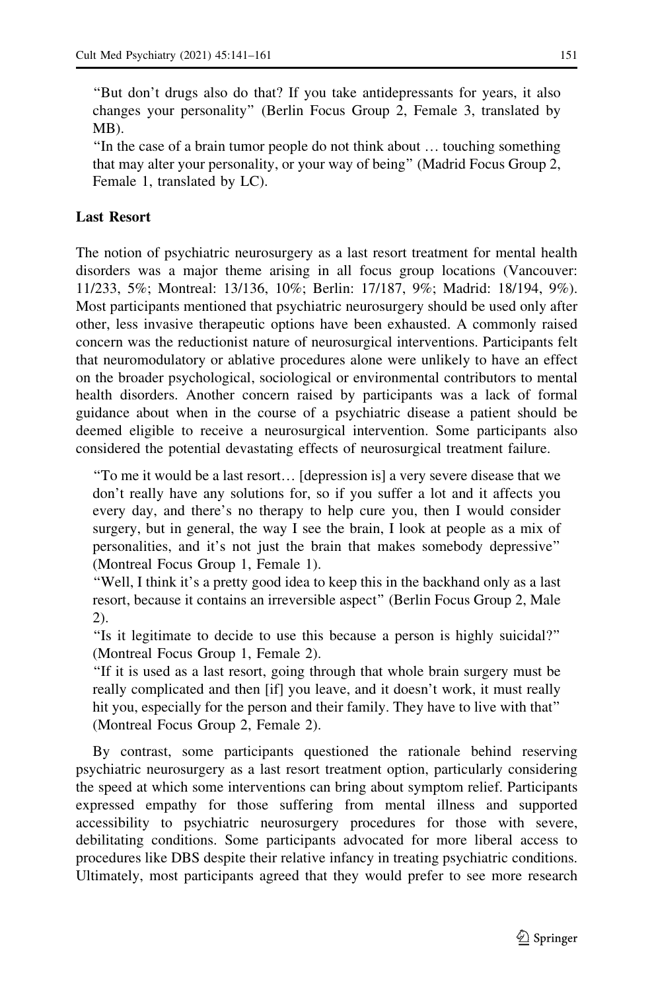''But don't drugs also do that? If you take antidepressants for years, it also changes your personality'' (Berlin Focus Group 2, Female 3, translated by MB).

''In the case of a brain tumor people do not think about … touching something that may alter your personality, or your way of being'' (Madrid Focus Group 2, Female 1, translated by LC).

## Last Resort

The notion of psychiatric neurosurgery as a last resort treatment for mental health disorders was a major theme arising in all focus group locations (Vancouver: 11/233, 5%; Montreal: 13/136, 10%; Berlin: 17/187, 9%; Madrid: 18/194, 9%). Most participants mentioned that psychiatric neurosurgery should be used only after other, less invasive therapeutic options have been exhausted. A commonly raised concern was the reductionist nature of neurosurgical interventions. Participants felt that neuromodulatory or ablative procedures alone were unlikely to have an effect on the broader psychological, sociological or environmental contributors to mental health disorders. Another concern raised by participants was a lack of formal guidance about when in the course of a psychiatric disease a patient should be deemed eligible to receive a neurosurgical intervention. Some participants also considered the potential devastating effects of neurosurgical treatment failure.

''To me it would be a last resort… [depression is] a very severe disease that we don't really have any solutions for, so if you suffer a lot and it affects you every day, and there's no therapy to help cure you, then I would consider surgery, but in general, the way I see the brain, I look at people as a mix of personalities, and it's not just the brain that makes somebody depressive'' (Montreal Focus Group 1, Female 1).

''Well, I think it's a pretty good idea to keep this in the backhand only as a last resort, because it contains an irreversible aspect'' (Berlin Focus Group 2, Male 2).

''Is it legitimate to decide to use this because a person is highly suicidal?'' (Montreal Focus Group 1, Female 2).

''If it is used as a last resort, going through that whole brain surgery must be really complicated and then [if] you leave, and it doesn't work, it must really hit you, especially for the person and their family. They have to live with that'' (Montreal Focus Group 2, Female 2).

By contrast, some participants questioned the rationale behind reserving psychiatric neurosurgery as a last resort treatment option, particularly considering the speed at which some interventions can bring about symptom relief. Participants expressed empathy for those suffering from mental illness and supported accessibility to psychiatric neurosurgery procedures for those with severe, debilitating conditions. Some participants advocated for more liberal access to procedures like DBS despite their relative infancy in treating psychiatric conditions. Ultimately, most participants agreed that they would prefer to see more research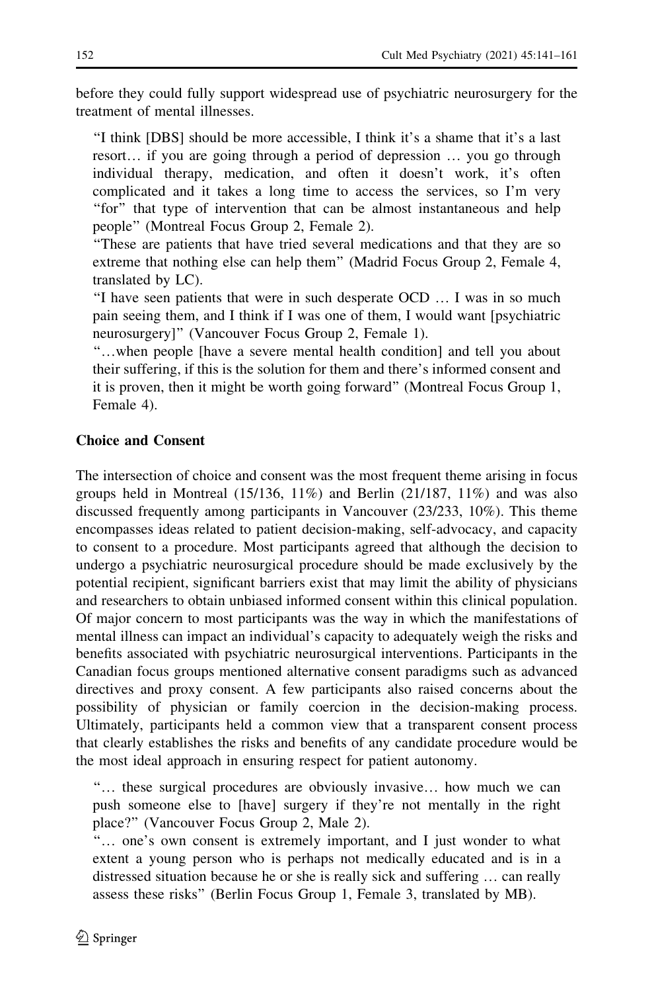before they could fully support widespread use of psychiatric neurosurgery for the treatment of mental illnesses.

''I think [DBS] should be more accessible, I think it's a shame that it's a last resort… if you are going through a period of depression … you go through individual therapy, medication, and often it doesn't work, it's often complicated and it takes a long time to access the services, so I'm very "for" that type of intervention that can be almost instantaneous and help people'' (Montreal Focus Group 2, Female 2).

''These are patients that have tried several medications and that they are so extreme that nothing else can help them'' (Madrid Focus Group 2, Female 4, translated by LC).

''I have seen patients that were in such desperate OCD … I was in so much pain seeing them, and I think if I was one of them, I would want [psychiatric neurosurgery]'' (Vancouver Focus Group 2, Female 1).

''…when people [have a severe mental health condition] and tell you about their suffering, if this is the solution for them and there's informed consent and it is proven, then it might be worth going forward'' (Montreal Focus Group 1, Female 4).

### Choice and Consent

The intersection of choice and consent was the most frequent theme arising in focus groups held in Montreal  $(15/136, 11\%)$  and Berlin  $(21/187, 11\%)$  and was also discussed frequently among participants in Vancouver (23/233, 10%). This theme encompasses ideas related to patient decision-making, self-advocacy, and capacity to consent to a procedure. Most participants agreed that although the decision to undergo a psychiatric neurosurgical procedure should be made exclusively by the potential recipient, significant barriers exist that may limit the ability of physicians and researchers to obtain unbiased informed consent within this clinical population. Of major concern to most participants was the way in which the manifestations of mental illness can impact an individual's capacity to adequately weigh the risks and benefits associated with psychiatric neurosurgical interventions. Participants in the Canadian focus groups mentioned alternative consent paradigms such as advanced directives and proxy consent. A few participants also raised concerns about the possibility of physician or family coercion in the decision-making process. Ultimately, participants held a common view that a transparent consent process that clearly establishes the risks and benefits of any candidate procedure would be the most ideal approach in ensuring respect for patient autonomy.

''… these surgical procedures are obviously invasive… how much we can push someone else to [have] surgery if they're not mentally in the right place?'' (Vancouver Focus Group 2, Male 2).

"... one's own consent is extremely important, and I just wonder to what extent a young person who is perhaps not medically educated and is in a distressed situation because he or she is really sick and suffering … can really assess these risks'' (Berlin Focus Group 1, Female 3, translated by MB).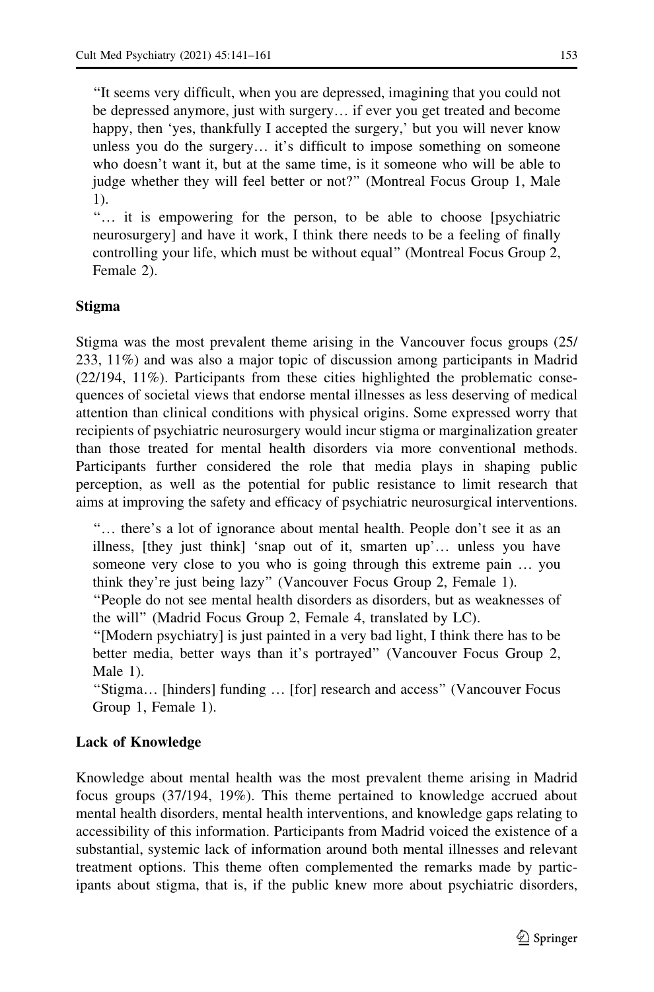''It seems very difficult, when you are depressed, imagining that you could not be depressed anymore, just with surgery… if ever you get treated and become happy, then 'yes, thankfully I accepted the surgery,' but you will never know unless you do the surgery… it's difficult to impose something on someone who doesn't want it, but at the same time, is it someone who will be able to judge whether they will feel better or not?'' (Montreal Focus Group 1, Male 1).

''… it is empowering for the person, to be able to choose [psychiatric neurosurgery] and have it work, I think there needs to be a feeling of finally controlling your life, which must be without equal'' (Montreal Focus Group 2, Female 2).

# Stigma

Stigma was the most prevalent theme arising in the Vancouver focus groups (25/ 233, 11%) and was also a major topic of discussion among participants in Madrid (22/194, 11%). Participants from these cities highlighted the problematic consequences of societal views that endorse mental illnesses as less deserving of medical attention than clinical conditions with physical origins. Some expressed worry that recipients of psychiatric neurosurgery would incur stigma or marginalization greater than those treated for mental health disorders via more conventional methods. Participants further considered the role that media plays in shaping public perception, as well as the potential for public resistance to limit research that aims at improving the safety and efficacy of psychiatric neurosurgical interventions.

''… there's a lot of ignorance about mental health. People don't see it as an illness, [they just think] 'snap out of it, smarten up'… unless you have someone very close to you who is going through this extreme pain … you think they're just being lazy'' (Vancouver Focus Group 2, Female 1).

''People do not see mental health disorders as disorders, but as weaknesses of the will'' (Madrid Focus Group 2, Female 4, translated by LC).

''[Modern psychiatry] is just painted in a very bad light, I think there has to be better media, better ways than it's portrayed'' (Vancouver Focus Group 2, Male 1).

''Stigma… [hinders] funding … [for] research and access'' (Vancouver Focus Group 1, Female 1).

# Lack of Knowledge

Knowledge about mental health was the most prevalent theme arising in Madrid focus groups (37/194, 19%). This theme pertained to knowledge accrued about mental health disorders, mental health interventions, and knowledge gaps relating to accessibility of this information. Participants from Madrid voiced the existence of a substantial, systemic lack of information around both mental illnesses and relevant treatment options. This theme often complemented the remarks made by participants about stigma, that is, if the public knew more about psychiatric disorders,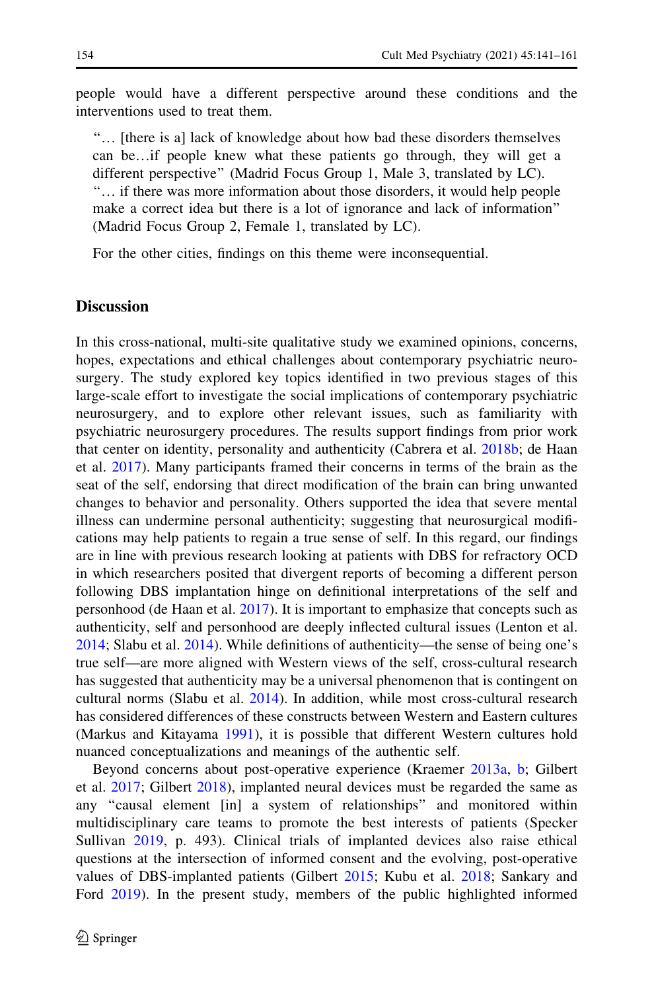people would have a different perspective around these conditions and the interventions used to treat them.

''… [there is a] lack of knowledge about how bad these disorders themselves can be…if people knew what these patients go through, they will get a different perspective'' (Madrid Focus Group 1, Male 3, translated by LC). ''… if there was more information about those disorders, it would help people make a correct idea but there is a lot of ignorance and lack of information'' (Madrid Focus Group 2, Female 1, translated by LC).

For the other cities, findings on this theme were inconsequential.

## **Discussion**

In this cross-national, multi-site qualitative study we examined opinions, concerns, hopes, expectations and ethical challenges about contemporary psychiatric neurosurgery. The study explored key topics identified in two previous stages of this large-scale effort to investigate the social implications of contemporary psychiatric neurosurgery, and to explore other relevant issues, such as familiarity with psychiatric neurosurgery procedures. The results support findings from prior work that center on identity, personality and authenticity (Cabrera et al. [2018b;](#page-16-0) de Haan et al. [2017](#page-16-0)). Many participants framed their concerns in terms of the brain as the seat of the self, endorsing that direct modification of the brain can bring unwanted changes to behavior and personality. Others supported the idea that severe mental illness can undermine personal authenticity; suggesting that neurosurgical modifications may help patients to regain a true sense of self. In this regard, our findings are in line with previous research looking at patients with DBS for refractory OCD in which researchers posited that divergent reports of becoming a different person following DBS implantation hinge on definitional interpretations of the self and personhood (de Haan et al. [2017](#page-16-0)). It is important to emphasize that concepts such as authenticity, self and personhood are deeply inflected cultural issues (Lenton et al. [2014;](#page-18-0) Slabu et al. [2014\)](#page-19-0). While definitions of authenticity—the sense of being one's true self—are more aligned with Western views of the self, cross-cultural research has suggested that authenticity may be a universal phenomenon that is contingent on cultural norms (Slabu et al. [2014\)](#page-19-0). In addition, while most cross-cultural research has considered differences of these constructs between Western and Eastern cultures (Markus and Kitayama [1991\)](#page-18-0), it is possible that different Western cultures hold nuanced conceptualizations and meanings of the authentic self.

Beyond concerns about post-operative experience (Kraemer [2013a,](#page-17-0) [b;](#page-17-0) Gilbert et al. [2017;](#page-17-0) Gilbert [2018](#page-17-0)), implanted neural devices must be regarded the same as any ''causal element [in] a system of relationships'' and monitored within multidisciplinary care teams to promote the best interests of patients (Specker Sullivan [2019,](#page-19-0) p. 493). Clinical trials of implanted devices also raise ethical questions at the intersection of informed consent and the evolving, post-operative values of DBS-implanted patients (Gilbert [2015](#page-17-0); Kubu et al. [2018](#page-17-0); Sankary and Ford [2019\)](#page-19-0). In the present study, members of the public highlighted informed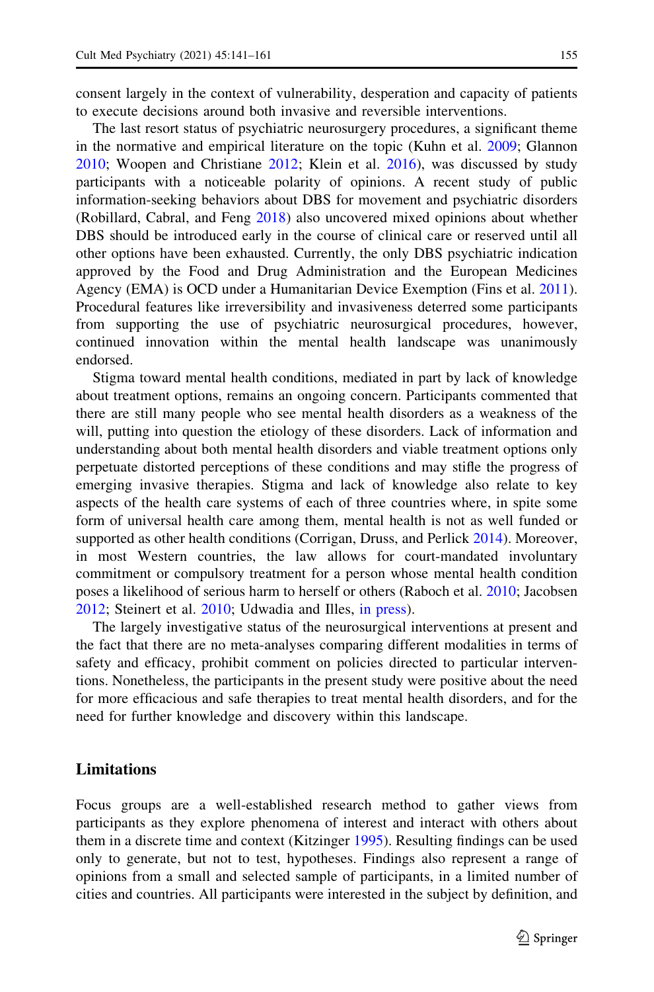consent largely in the context of vulnerability, desperation and capacity of patients

The last resort status of psychiatric neurosurgery procedures, a significant theme in the normative and empirical literature on the topic (Kuhn et al. [2009;](#page-17-0) Glannon [2010;](#page-17-0) Woopen and Christiane [2012;](#page-18-0) Klein et al. [2016\)](#page-17-0), was discussed by study participants with a noticeable polarity of opinions. A recent study of public information-seeking behaviors about DBS for movement and psychiatric disorders (Robillard, Cabral, and Feng [2018](#page-18-0)) also uncovered mixed opinions about whether DBS should be introduced early in the course of clinical care or reserved until all other options have been exhausted. Currently, the only DBS psychiatric indication approved by the Food and Drug Administration and the European Medicines Agency (EMA) is OCD under a Humanitarian Device Exemption (Fins et al. [2011\)](#page-17-0). Procedural features like irreversibility and invasiveness deterred some participants from supporting the use of psychiatric neurosurgical procedures, however, continued innovation within the mental health landscape was unanimously endorsed.

to execute decisions around both invasive and reversible interventions.

Stigma toward mental health conditions, mediated in part by lack of knowledge about treatment options, remains an ongoing concern. Participants commented that there are still many people who see mental health disorders as a weakness of the will, putting into question the etiology of these disorders. Lack of information and understanding about both mental health disorders and viable treatment options only perpetuate distorted perceptions of these conditions and may stifle the progress of emerging invasive therapies. Stigma and lack of knowledge also relate to key aspects of the health care systems of each of three countries where, in spite some form of universal health care among them, mental health is not as well funded or supported as other health conditions (Corrigan, Druss, and Perlick [2014](#page-16-0)). Moreover, in most Western countries, the law allows for court-mandated involuntary commitment or compulsory treatment for a person whose mental health condition poses a likelihood of serious harm to herself or others (Raboch et al. [2010;](#page-18-0) Jacobsen [2012;](#page-17-0) Steinert et al. [2010](#page-19-0); Udwadia and Illes, [in press](#page-19-0)).

The largely investigative status of the neurosurgical interventions at present and the fact that there are no meta-analyses comparing different modalities in terms of safety and efficacy, prohibit comment on policies directed to particular interventions. Nonetheless, the participants in the present study were positive about the need for more efficacious and safe therapies to treat mental health disorders, and for the need for further knowledge and discovery within this landscape.

## Limitations

Focus groups are a well-established research method to gather views from participants as they explore phenomena of interest and interact with others about them in a discrete time and context (Kitzinger [1995\)](#page-17-0). Resulting findings can be used only to generate, but not to test, hypotheses. Findings also represent a range of opinions from a small and selected sample of participants, in a limited number of cities and countries. All participants were interested in the subject by definition, and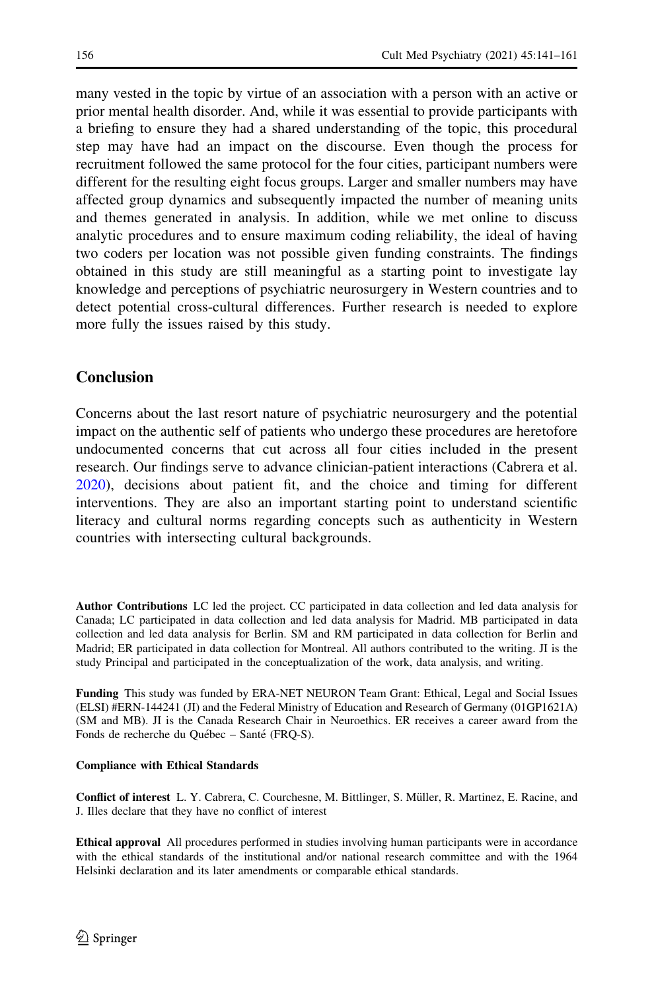many vested in the topic by virtue of an association with a person with an active or prior mental health disorder. And, while it was essential to provide participants with a briefing to ensure they had a shared understanding of the topic, this procedural step may have had an impact on the discourse. Even though the process for recruitment followed the same protocol for the four cities, participant numbers were different for the resulting eight focus groups. Larger and smaller numbers may have affected group dynamics and subsequently impacted the number of meaning units and themes generated in analysis. In addition, while we met online to discuss analytic procedures and to ensure maximum coding reliability, the ideal of having two coders per location was not possible given funding constraints. The findings obtained in this study are still meaningful as a starting point to investigate lay knowledge and perceptions of psychiatric neurosurgery in Western countries and to detect potential cross-cultural differences. Further research is needed to explore more fully the issues raised by this study.

## Conclusion

Concerns about the last resort nature of psychiatric neurosurgery and the potential impact on the authentic self of patients who undergo these procedures are heretofore undocumented concerns that cut across all four cities included in the present research. Our findings serve to advance clinician-patient interactions (Cabrera et al. [2020\)](#page-16-0), decisions about patient fit, and the choice and timing for different interventions. They are also an important starting point to understand scientific literacy and cultural norms regarding concepts such as authenticity in Western countries with intersecting cultural backgrounds.

Author Contributions LC led the project. CC participated in data collection and led data analysis for Canada; LC participated in data collection and led data analysis for Madrid. MB participated in data collection and led data analysis for Berlin. SM and RM participated in data collection for Berlin and Madrid; ER participated in data collection for Montreal. All authors contributed to the writing. JI is the study Principal and participated in the conceptualization of the work, data analysis, and writing.

Funding This study was funded by ERA-NET NEURON Team Grant: Ethical, Legal and Social Issues (ELSI) #ERN-144241 (JI) and the Federal Ministry of Education and Research of Germany (01GP1621A) (SM and MB). JI is the Canada Research Chair in Neuroethics. ER receives a career award from the Fonds de recherche du Québec – Santé (FRQ-S).

#### Compliance with Ethical Standards

Conflict of interest L. Y. Cabrera, C. Courchesne, M. Bittlinger, S. Müller, R. Martinez, E. Racine, and J. Illes declare that they have no conflict of interest

Ethical approval All procedures performed in studies involving human participants were in accordance with the ethical standards of the institutional and/or national research committee and with the 1964 Helsinki declaration and its later amendments or comparable ethical standards.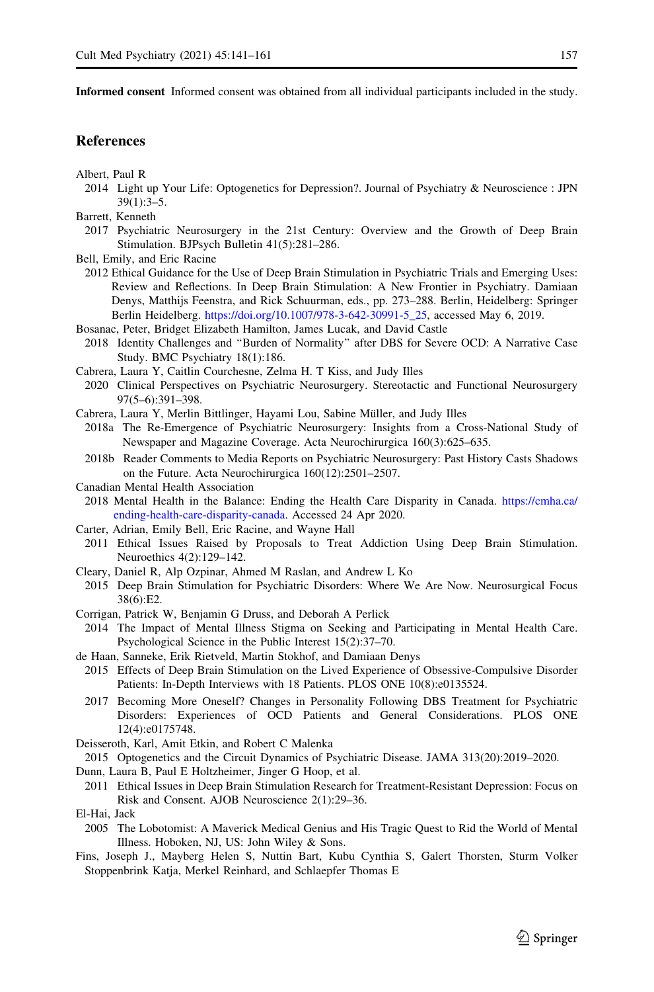<span id="page-16-0"></span>Informed consent Informed consent was obtained from all individual participants included in the study.

#### **References**

Albert, Paul R

- 2014 Light up Your Life: Optogenetics for Depression?. Journal of Psychiatry & Neuroscience : JPN  $39(1):3–5.$
- Barrett, Kenneth
- 2017 Psychiatric Neurosurgery in the 21st Century: Overview and the Growth of Deep Brain Stimulation. BJPsych Bulletin 41(5):281–286.
- Bell, Emily, and Eric Racine
- 2012 Ethical Guidance for the Use of Deep Brain Stimulation in Psychiatric Trials and Emerging Uses: Review and Reflections. In Deep Brain Stimulation: A New Frontier in Psychiatry. Damiaan Denys, Matthijs Feenstra, and Rick Schuurman, eds., pp. 273–288. Berlin, Heidelberg: Springer Berlin Heidelberg. [https://doi.org/10.1007/978-3-642-30991-5\\_25](https://doi.org/10.1007/978-3-642-30991-5_25), accessed May 6, 2019.
- Bosanac, Peter, Bridget Elizabeth Hamilton, James Lucak, and David Castle
- 2018 Identity Challenges and ''Burden of Normality'' after DBS for Severe OCD: A Narrative Case Study. BMC Psychiatry 18(1):186.
- Cabrera, Laura Y, Caitlin Courchesne, Zelma H. T Kiss, and Judy Illes
- 2020 Clinical Perspectives on Psychiatric Neurosurgery. Stereotactic and Functional Neurosurgery 97(5–6):391–398.
- Cabrera, Laura Y, Merlin Bittlinger, Hayami Lou, Sabine Müller, and Judy Illes
- 2018a The Re-Emergence of Psychiatric Neurosurgery: Insights from a Cross-National Study of Newspaper and Magazine Coverage. Acta Neurochirurgica 160(3):625–635.
- 2018b Reader Comments to Media Reports on Psychiatric Neurosurgery: Past History Casts Shadows on the Future. Acta Neurochirurgica 160(12):2501–2507.
- Canadian Mental Health Association
	- 2018 Mental Health in the Balance: Ending the Health Care Disparity in Canada. [https://cmha.ca/](https://cmha.ca/ending-health-care-disparity-canada) [ending-health-care-disparity-canada.](https://cmha.ca/ending-health-care-disparity-canada) Accessed 24 Apr 2020.
- Carter, Adrian, Emily Bell, Eric Racine, and Wayne Hall
- 2011 Ethical Issues Raised by Proposals to Treat Addiction Using Deep Brain Stimulation. Neuroethics 4(2):129–142.
- Cleary, Daniel R, Alp Ozpinar, Ahmed M Raslan, and Andrew L Ko
- 2015 Deep Brain Stimulation for Psychiatric Disorders: Where We Are Now. Neurosurgical Focus 38(6):E2.
- Corrigan, Patrick W, Benjamin G Druss, and Deborah A Perlick
- 2014 The Impact of Mental Illness Stigma on Seeking and Participating in Mental Health Care. Psychological Science in the Public Interest 15(2):37–70.
- de Haan, Sanneke, Erik Rietveld, Martin Stokhof, and Damiaan Denys
	- 2015 Effects of Deep Brain Stimulation on the Lived Experience of Obsessive-Compulsive Disorder Patients: In-Depth Interviews with 18 Patients. PLOS ONE 10(8):e0135524.
	- 2017 Becoming More Oneself? Changes in Personality Following DBS Treatment for Psychiatric Disorders: Experiences of OCD Patients and General Considerations. PLOS ONE 12(4):e0175748.
- Deisseroth, Karl, Amit Etkin, and Robert C Malenka
- 2015 Optogenetics and the Circuit Dynamics of Psychiatric Disease. JAMA 313(20):2019–2020.
- Dunn, Laura B, Paul E Holtzheimer, Jinger G Hoop, et al.
- 2011 Ethical Issues in Deep Brain Stimulation Research for Treatment-Resistant Depression: Focus on Risk and Consent. AJOB Neuroscience 2(1):29–36.
- El-Hai, Jack
- 2005 The Lobotomist: A Maverick Medical Genius and His Tragic Quest to Rid the World of Mental Illness. Hoboken, NJ, US: John Wiley & Sons.
- Fins, Joseph J., Mayberg Helen S, Nuttin Bart, Kubu Cynthia S, Galert Thorsten, Sturm Volker Stoppenbrink Katja, Merkel Reinhard, and Schlaepfer Thomas E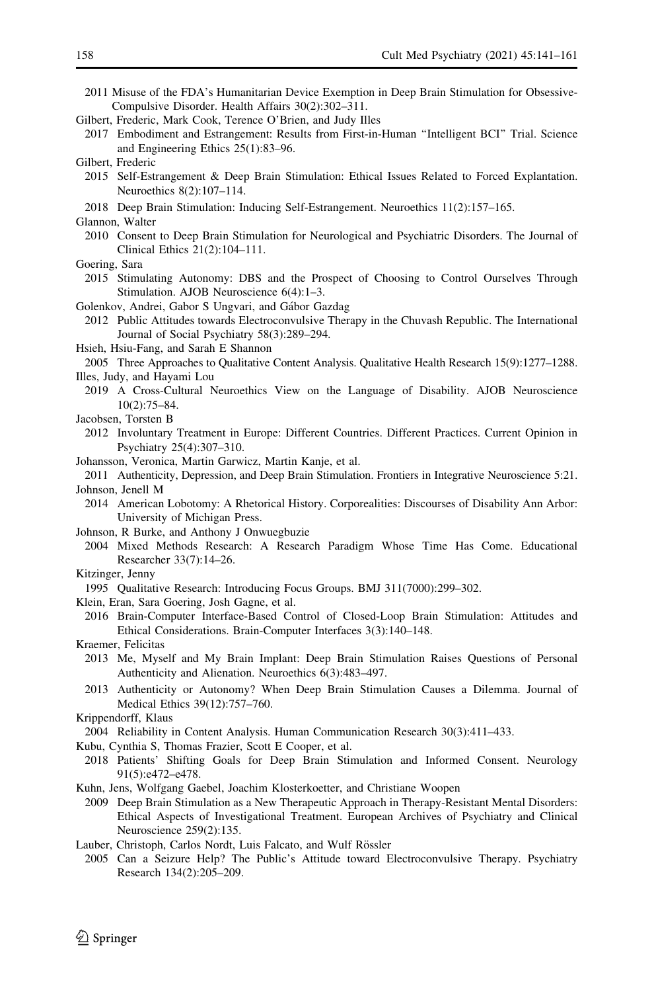<span id="page-17-0"></span>2011 Misuse of the FDA's Humanitarian Device Exemption in Deep Brain Stimulation for Obsessive-Compulsive Disorder. Health Affairs 30(2):302–311.

2017 Embodiment and Estrangement: Results from First-in-Human ''Intelligent BCI'' Trial. Science and Engineering Ethics 25(1):83–96.

- 2015 Self-Estrangement & Deep Brain Stimulation: Ethical Issues Related to Forced Explantation. Neuroethics 8(2):107–114.
- 2018 Deep Brain Stimulation: Inducing Self-Estrangement. Neuroethics 11(2):157–165.
- Glannon, Walter
- 2010 Consent to Deep Brain Stimulation for Neurological and Psychiatric Disorders. The Journal of Clinical Ethics 21(2):104–111.
- Goering, Sara
- 2015 Stimulating Autonomy: DBS and the Prospect of Choosing to Control Ourselves Through Stimulation. AJOB Neuroscience 6(4):1–3.
- Golenkov, Andrei, Gabor S Ungvari, and Gábor Gazdag
	- 2012 Public Attitudes towards Electroconvulsive Therapy in the Chuvash Republic. The International Journal of Social Psychiatry 58(3):289–294.
- Hsieh, Hsiu-Fang, and Sarah E Shannon
- 2005 Three Approaches to Qualitative Content Analysis. Qualitative Health Research 15(9):1277–1288. Illes, Judy, and Hayami Lou
- 2019 A Cross-Cultural Neuroethics View on the Language of Disability. AJOB Neuroscience 10(2):75–84.
- Jacobsen, Torsten B
- 2012 Involuntary Treatment in Europe: Different Countries. Different Practices. Current Opinion in Psychiatry 25(4):307–310.
- Johansson, Veronica, Martin Garwicz, Martin Kanje, et al.
- 2011 Authenticity, Depression, and Deep Brain Stimulation. Frontiers in Integrative Neuroscience 5:21. Johnson, Jenell M
	- 2014 American Lobotomy: A Rhetorical History. Corporealities: Discourses of Disability Ann Arbor: University of Michigan Press.
- Johnson, R Burke, and Anthony J Onwuegbuzie
- 2004 Mixed Methods Research: A Research Paradigm Whose Time Has Come. Educational Researcher 33(7):14–26.
- Kitzinger, Jenny
	- 1995 Qualitative Research: Introducing Focus Groups. BMJ 311(7000):299–302.
- Klein, Eran, Sara Goering, Josh Gagne, et al.
- 2016 Brain-Computer Interface-Based Control of Closed-Loop Brain Stimulation: Attitudes and Ethical Considerations. Brain-Computer Interfaces 3(3):140–148.
- Kraemer, Felicitas
- 2013 Me, Myself and My Brain Implant: Deep Brain Stimulation Raises Questions of Personal Authenticity and Alienation. Neuroethics 6(3):483–497.
- 2013 Authenticity or Autonomy? When Deep Brain Stimulation Causes a Dilemma. Journal of Medical Ethics 39(12):757–760.
- Krippendorff, Klaus
- 2004 Reliability in Content Analysis. Human Communication Research 30(3):411–433.
- Kubu, Cynthia S, Thomas Frazier, Scott E Cooper, et al.
- 2018 Patients' Shifting Goals for Deep Brain Stimulation and Informed Consent. Neurology 91(5):e472–e478.
- Kuhn, Jens, Wolfgang Gaebel, Joachim Klosterkoetter, and Christiane Woopen
- 2009 Deep Brain Stimulation as a New Therapeutic Approach in Therapy-Resistant Mental Disorders: Ethical Aspects of Investigational Treatment. European Archives of Psychiatry and Clinical Neuroscience 259(2):135.
- Lauber, Christoph, Carlos Nordt, Luis Falcato, and Wulf Rössler
- 2005 Can a Seizure Help? The Public's Attitude toward Electroconvulsive Therapy. Psychiatry Research 134(2):205–209.

Gilbert, Frederic, Mark Cook, Terence O'Brien, and Judy Illes

Gilbert, Frederic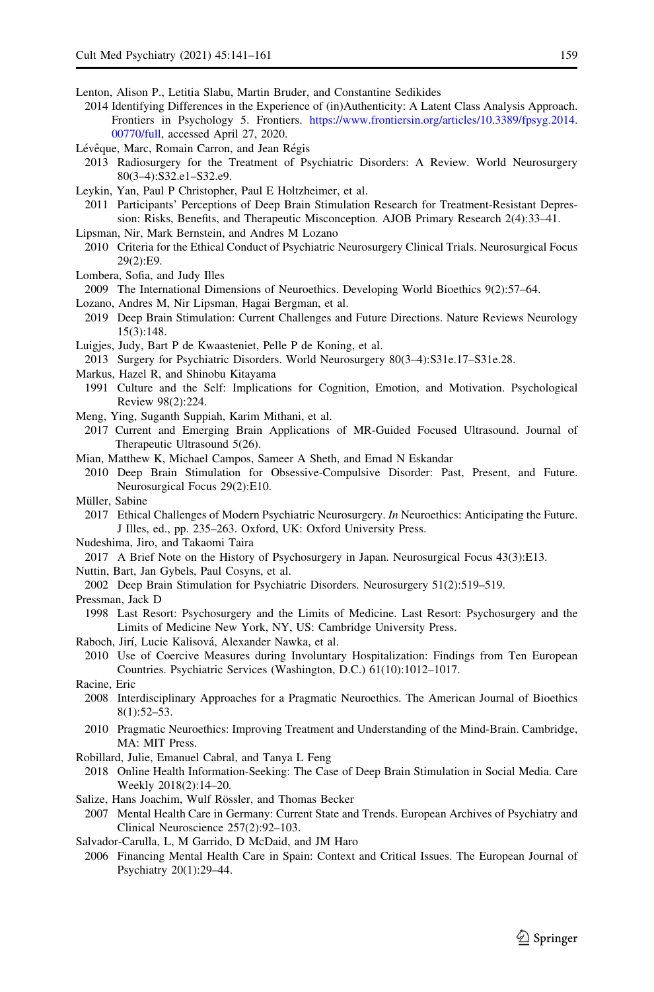<span id="page-18-0"></span>Lenton, Alison P., Letitia Slabu, Martin Bruder, and Constantine Sedikides

- 2014 Identifying Differences in the Experience of (in)Authenticity: A Latent Class Analysis Approach. Frontiers in Psychology 5. Frontiers. [https://www.frontiersin.org/articles/10.3389/fpsyg.2014.](https://www.frontiersin.org/articles/10.3389/fpsyg.2014.00770/full) [00770/full](https://www.frontiersin.org/articles/10.3389/fpsyg.2014.00770/full), accessed April 27, 2020.
- Lévêque, Marc, Romain Carron, and Jean Régis
	- 2013 Radiosurgery for the Treatment of Psychiatric Disorders: A Review. World Neurosurgery 80(3–4):S32.e1–S32.e9.
- Leykin, Yan, Paul P Christopher, Paul E Holtzheimer, et al.
- 2011 Participants' Perceptions of Deep Brain Stimulation Research for Treatment-Resistant Depression: Risks, Benefits, and Therapeutic Misconception. AJOB Primary Research 2(4):33–41.
- Lipsman, Nir, Mark Bernstein, and Andres M Lozano
- 2010 Criteria for the Ethical Conduct of Psychiatric Neurosurgery Clinical Trials. Neurosurgical Focus 29(2):E9.
- Lombera, Sofia, and Judy Illes
- 2009 The International Dimensions of Neuroethics. Developing World Bioethics 9(2):57–64.
- Lozano, Andres M, Nir Lipsman, Hagai Bergman, et al.
- 2019 Deep Brain Stimulation: Current Challenges and Future Directions. Nature Reviews Neurology 15(3):148.
- Luigjes, Judy, Bart P de Kwaasteniet, Pelle P de Koning, et al.
- 2013 Surgery for Psychiatric Disorders. World Neurosurgery 80(3–4):S31e.17–S31e.28.
- Markus, Hazel R, and Shinobu Kitayama
- 1991 Culture and the Self: Implications for Cognition, Emotion, and Motivation. Psychological Review 98(2):224.
- Meng, Ying, Suganth Suppiah, Karim Mithani, et al.
	- 2017 Current and Emerging Brain Applications of MR-Guided Focused Ultrasound. Journal of Therapeutic Ultrasound 5(26).
- Mian, Matthew K, Michael Campos, Sameer A Sheth, and Emad N Eskandar
- 2010 Deep Brain Stimulation for Obsessive-Compulsive Disorder: Past, Present, and Future. Neurosurgical Focus 29(2):E10.
- Müller, Sabine
- 2017 Ethical Challenges of Modern Psychiatric Neurosurgery. In Neuroethics: Anticipating the Future. J Illes, ed., pp. 235–263. Oxford, UK: Oxford University Press.
- Nudeshima, Jiro, and Takaomi Taira
- 2017 A Brief Note on the History of Psychosurgery in Japan. Neurosurgical Focus 43(3):E13.
- Nuttin, Bart, Jan Gybels, Paul Cosyns, et al.
- 2002 Deep Brain Stimulation for Psychiatric Disorders. Neurosurgery 51(2):519–519.
- Pressman, Jack D
- 1998 Last Resort: Psychosurgery and the Limits of Medicine. Last Resort: Psychosurgery and the Limits of Medicine New York, NY, US: Cambridge University Press.
- Raboch, Jirí, Lucie Kalisová, Alexander Nawka, et al.
- 2010 Use of Coercive Measures during Involuntary Hospitalization: Findings from Ten European Countries. Psychiatric Services (Washington, D.C.) 61(10):1012–1017.
- Racine, Eric
	- 2008 Interdisciplinary Approaches for a Pragmatic Neuroethics. The American Journal of Bioethics  $8(1):52-53.$
	- 2010 Pragmatic Neuroethics: Improving Treatment and Understanding of the Mind-Brain. Cambridge, MA: MIT Press.
- Robillard, Julie, Emanuel Cabral, and Tanya L Feng
- 2018 Online Health Information-Seeking: The Case of Deep Brain Stimulation in Social Media. Care Weekly 2018(2):14–20.
- Salize, Hans Joachim, Wulf Rössler, and Thomas Becker
- 2007 Mental Health Care in Germany: Current State and Trends. European Archives of Psychiatry and Clinical Neuroscience 257(2):92–103.
- Salvador-Carulla, L, M Garrido, D McDaid, and JM Haro
- 2006 Financing Mental Health Care in Spain: Context and Critical Issues. The European Journal of Psychiatry 20(1):29–44.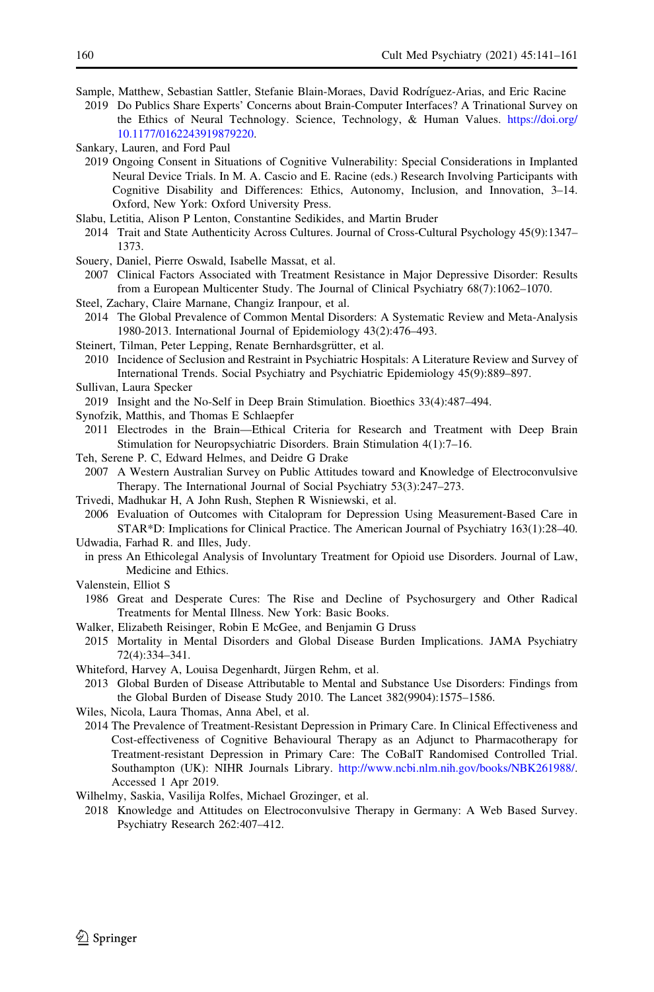- <span id="page-19-0"></span>Sample, Matthew, Sebastian Sattler, Stefanie Blain-Moraes, David Rodríguez-Arias, and Eric Racine
- 2019 Do Publics Share Experts' Concerns about Brain-Computer Interfaces? A Trinational Survey on the Ethics of Neural Technology. Science, Technology, & Human Values. [https://doi.org/](https://doi.org/10.1177/0162243919879220) [10.1177/0162243919879220.](https://doi.org/10.1177/0162243919879220)

- 2019 Ongoing Consent in Situations of Cognitive Vulnerability: Special Considerations in Implanted Neural Device Trials. In M. A. Cascio and E. Racine (eds.) Research Involving Participants with Cognitive Disability and Differences: Ethics, Autonomy, Inclusion, and Innovation, 3–14. Oxford, New York: Oxford University Press.
- Slabu, Letitia, Alison P Lenton, Constantine Sedikides, and Martin Bruder
- 2014 Trait and State Authenticity Across Cultures. Journal of Cross-Cultural Psychology 45(9):1347– 1373.
- Souery, Daniel, Pierre Oswald, Isabelle Massat, et al.
- 2007 Clinical Factors Associated with Treatment Resistance in Major Depressive Disorder: Results from a European Multicenter Study. The Journal of Clinical Psychiatry 68(7):1062–1070.
- Steel, Zachary, Claire Marnane, Changiz Iranpour, et al.
- 2014 The Global Prevalence of Common Mental Disorders: A Systematic Review and Meta-Analysis 1980-2013. International Journal of Epidemiology 43(2):476–493.
- Steinert, Tilman, Peter Lepping, Renate Bernhardsgrütter, et al.
- 2010 Incidence of Seclusion and Restraint in Psychiatric Hospitals: A Literature Review and Survey of International Trends. Social Psychiatry and Psychiatric Epidemiology 45(9):889–897.
- Sullivan, Laura Specker
- 2019 Insight and the No-Self in Deep Brain Stimulation. Bioethics 33(4):487–494.
- Synofzik, Matthis, and Thomas E Schlaepfer
- 2011 Electrodes in the Brain—Ethical Criteria for Research and Treatment with Deep Brain Stimulation for Neuropsychiatric Disorders. Brain Stimulation 4(1):7–16.
- Teh, Serene P. C, Edward Helmes, and Deidre G Drake
- 2007 A Western Australian Survey on Public Attitudes toward and Knowledge of Electroconvulsive Therapy. The International Journal of Social Psychiatry 53(3):247–273.
- Trivedi, Madhukar H, A John Rush, Stephen R Wisniewski, et al.
- 2006 Evaluation of Outcomes with Citalopram for Depression Using Measurement-Based Care in STAR\*D: Implications for Clinical Practice. The American Journal of Psychiatry 163(1):28–40. Udwadia, Farhad R. and Illes, Judy.
- in press An Ethicolegal Analysis of Involuntary Treatment for Opioid use Disorders. Journal of Law, Medicine and Ethics.
- Valenstein, Elliot S
- 1986 Great and Desperate Cures: The Rise and Decline of Psychosurgery and Other Radical Treatments for Mental Illness. New York: Basic Books.
- Walker, Elizabeth Reisinger, Robin E McGee, and Benjamin G Druss
- 2015 Mortality in Mental Disorders and Global Disease Burden Implications. JAMA Psychiatry 72(4):334–341.
- Whiteford, Harvey A, Louisa Degenhardt, Jürgen Rehm, et al.
- 2013 Global Burden of Disease Attributable to Mental and Substance Use Disorders: Findings from the Global Burden of Disease Study 2010. The Lancet 382(9904):1575–1586.
- Wiles, Nicola, Laura Thomas, Anna Abel, et al.
- 2014 The Prevalence of Treatment-Resistant Depression in Primary Care. In Clinical Effectiveness and Cost-effectiveness of Cognitive Behavioural Therapy as an Adjunct to Pharmacotherapy for Treatment-resistant Depression in Primary Care: The CoBalT Randomised Controlled Trial. Southampton (UK): NIHR Journals Library. <http://www.ncbi.nlm.nih.gov/books/NBK261988/>. Accessed 1 Apr 2019.
- Wilhelmy, Saskia, Vasilija Rolfes, Michael Grozinger, et al.
- 2018 Knowledge and Attitudes on Electroconvulsive Therapy in Germany: A Web Based Survey. Psychiatry Research 262:407–412.

Sankary, Lauren, and Ford Paul